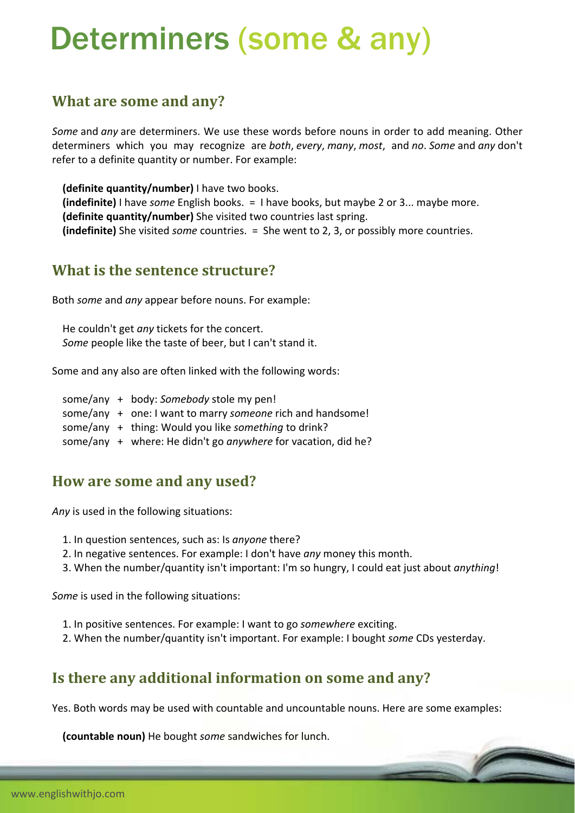# Determiners (some & any)

## **What are some and any?**

*Some* and *any* are determiners. We use these words before nouns in order to add meaning. Other determiners which you may recognize are *both*, *every*, *many*, *most*, and *no*. *Some* and *any* don't refer to a definite quantity or number. For example:

 **(definite quantity/number)** I have two books. **(indefinite)** I have *some* English books. = I have books, but maybe 2 or 3... maybe more. **(definite quantity/number)** She visited two countries last spring. **(indefinite)** She visited *some* countries. = She went to 2, 3, or possibly more countries.

#### **What is the sentence structure?**

Both *some* and *any* appear before nouns. For example:

 He couldn't get *any* tickets for the concert. *Some* people like the taste of beer, but I can't stand it.

Some and any also are often linked with the following words:

 some/any + body: *Somebody* stole my pen! some/any + one: I want to marry *someone* rich and handsome! some/any + thing: Would you like *something* to drink? some/any + where: He didn't go *anywhere* for vacation, did he?

## **How are some and any used?**

*Any* is used in the following situations:

- 1. In question sentences, such as: Is *anyone* there?
- 2. In negative sentences. For example: I don't have *any* money this month.
- 3. When the number/quantity isn't important: I'm so hungry, I could eat just about *anything*!

*Some* is used in the following situations:

- 1. In positive sentences. For example: I want to go *somewhere* exciting.
- 2. When the number/quantity isn't important. For example: I bought *some* CDs yesterday.

# **Is there any additional information on some and any?**

Yes. Both words may be used with countable and uncountable nouns. Here are some examples:

**(countable noun)** He bought *some* sandwiches for lunch.